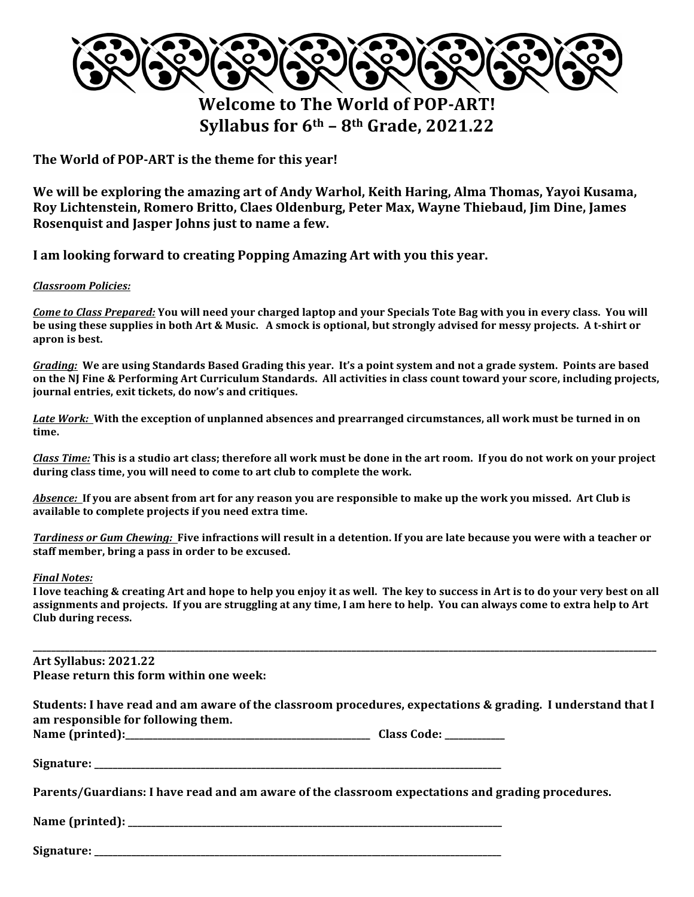

**Welcome to The World of POP-ART! Syllabus for 6th – 8th Grade, 2021.22**

The World of POP-ART is the theme for this year!

We will be exploring the amazing art of Andy Warhol, Keith Haring, Alma Thomas, Yayoi Kusama, Roy Lichtenstein, Romero Britto, Claes Oldenburg, Peter Max, Wayne Thiebaud, Jim Dine, James Rosenquist and Jasper Johns just to name a few.

I am looking forward to creating Popping Amazing Art with you this year.

## *Classroom Policies:*

*Come to Class Prepared:* You will need your charged laptop and your Specials Tote Bag with you in every class. You will **be** using these supplies in both Art & Music. A smock is optional, but strongly advised for messy projects. A t-shirt or apron is best.

Grading: We are using Standards Based Grading this year. It's a point system and not a grade system. Points are based **on the NJ Fine & Performing Art Curriculum Standards. All activities in class count toward your score, including projects, journal entries, exit tickets, do now's and critiques.** 

Late Work: With the exception of unplanned absences and prearranged circumstances, all work must be turned in on **time.** 

*Class Time:* This is a studio art class; therefore all work must be done in the art room. If you do not work on your project during class time, you will need to come to art club to complete the work.

Absence: If you are absent from art for any reason you are responsible to make up the work you missed. Art Club is available to complete projects if you need extra time.

*Tardiness or Gum Chewing:* Five infractions will result in a detention. If you are late because you were with a teacher or staff member, bring a pass in order to be excused.

## *Final Notes:*

I love teaching & creating Art and hope to help you enjoy it as well. The key to success in Art is to do your very best on all assignments and projects. If you are struggling at any time, I am here to help. You can always come to extra help to Art **Club during recess.** 

**\_\_\_\_\_\_\_\_\_\_\_\_\_\_\_\_\_\_\_\_\_\_\_\_\_\_\_\_\_\_\_\_\_\_\_\_\_\_\_\_\_\_\_\_\_\_\_\_\_\_\_\_\_\_\_\_\_\_\_\_\_\_\_\_\_\_\_\_\_\_\_\_\_\_\_\_\_\_\_\_\_\_\_\_\_\_\_\_\_\_\_\_\_\_\_\_\_\_\_\_\_\_\_\_\_\_\_\_\_\_\_\_\_\_\_\_\_\_\_\_\_\_\_\_\_\_\_\_\_\_\_\_\_\_\_ Art Syllabus: 2021.22 Please return this form within one week: Students: I have read and am aware of the classroom procedures, expectations & grading. I understand that I** am responsible for following them. **Name (printed):\_\_\_\_\_\_\_\_\_\_\_\_\_\_\_\_\_\_\_\_\_\_\_\_\_\_\_\_\_\_\_\_\_\_\_\_\_\_\_\_\_\_\_\_\_\_\_\_\_\_\_\_\_ Class Code: \_\_\_\_\_\_\_\_\_\_\_\_\_** Signature: **with a set of the set of the set of the set of the set of the set of the set of the set of the set of the set of the set of the set of the set of the set of the set of the set of the set of the set of the set o** Parents/Guardians: I have read and am aware of the classroom expectations and grading procedures. **Name (printed): \_\_\_\_\_\_\_\_\_\_\_\_\_\_\_\_\_\_\_\_\_\_\_\_\_\_\_\_\_\_\_\_\_\_\_\_\_\_\_\_\_\_\_\_\_\_\_\_\_\_\_\_\_\_\_\_\_\_\_\_\_\_\_\_\_\_\_\_\_\_\_\_\_\_\_\_\_\_\_\_\_**

Signature: **with a set of the set of the set of the set of the set of the set of the set of the set of the set of the set of the set of the set of the set of the set of the set of the set of the set of the set of the set o**